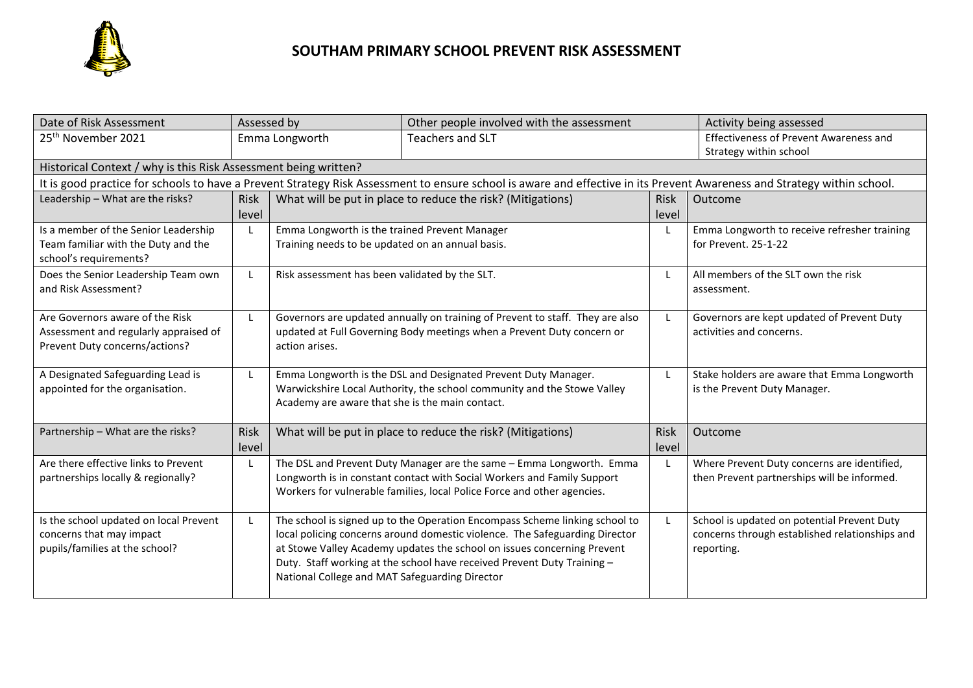

| Date of Risk Assessment                                                                                                                                                 |             | Assessed by                                                 | Other people involved with the assessment                                     |             | Activity being assessed                        |  |  |  |  |  |
|-------------------------------------------------------------------------------------------------------------------------------------------------------------------------|-------------|-------------------------------------------------------------|-------------------------------------------------------------------------------|-------------|------------------------------------------------|--|--|--|--|--|
| 25 <sup>th</sup> November 2021                                                                                                                                          |             | <b>Teachers and SLT</b><br>Emma Longworth                   |                                                                               |             | Effectiveness of Prevent Awareness and         |  |  |  |  |  |
|                                                                                                                                                                         |             |                                                             |                                                                               |             | Strategy within school                         |  |  |  |  |  |
| Historical Context / why is this Risk Assessment being written?                                                                                                         |             |                                                             |                                                                               |             |                                                |  |  |  |  |  |
| It is good practice for schools to have a Prevent Strategy Risk Assessment to ensure school is aware and effective in its Prevent Awareness and Strategy within school. |             |                                                             |                                                                               |             |                                                |  |  |  |  |  |
| Leadership - What are the risks?                                                                                                                                        | <b>Risk</b> | What will be put in place to reduce the risk? (Mitigations) |                                                                               | <b>Risk</b> | Outcome                                        |  |  |  |  |  |
|                                                                                                                                                                         | level       |                                                             |                                                                               | level       |                                                |  |  |  |  |  |
| Is a member of the Senior Leadership                                                                                                                                    | L           | Emma Longworth is the trained Prevent Manager               |                                                                               |             | Emma Longworth to receive refresher training   |  |  |  |  |  |
| Team familiar with the Duty and the                                                                                                                                     |             | Training needs to be updated on an annual basis.            |                                                                               |             | for Prevent. 25-1-22                           |  |  |  |  |  |
| school's requirements?                                                                                                                                                  |             |                                                             |                                                                               |             |                                                |  |  |  |  |  |
| Does the Senior Leadership Team own                                                                                                                                     | L           | Risk assessment has been validated by the SLT.              |                                                                               | L           | All members of the SLT own the risk            |  |  |  |  |  |
| and Risk Assessment?                                                                                                                                                    |             |                                                             |                                                                               |             | assessment.                                    |  |  |  |  |  |
|                                                                                                                                                                         |             |                                                             |                                                                               |             |                                                |  |  |  |  |  |
| Are Governors aware of the Risk                                                                                                                                         | L           |                                                             | Governors are updated annually on training of Prevent to staff. They are also | L           | Governors are kept updated of Prevent Duty     |  |  |  |  |  |
| Assessment and regularly appraised of                                                                                                                                   |             |                                                             | updated at Full Governing Body meetings when a Prevent Duty concern or        |             | activities and concerns.                       |  |  |  |  |  |
| Prevent Duty concerns/actions?                                                                                                                                          |             | action arises.                                              |                                                                               |             |                                                |  |  |  |  |  |
|                                                                                                                                                                         |             |                                                             |                                                                               |             |                                                |  |  |  |  |  |
| A Designated Safeguarding Lead is                                                                                                                                       | L           |                                                             | Emma Longworth is the DSL and Designated Prevent Duty Manager.                | L           | Stake holders are aware that Emma Longworth    |  |  |  |  |  |
| appointed for the organisation.                                                                                                                                         |             | Academy are aware that she is the main contact.             | Warwickshire Local Authority, the school community and the Stowe Valley       |             | is the Prevent Duty Manager.                   |  |  |  |  |  |
|                                                                                                                                                                         |             |                                                             |                                                                               |             |                                                |  |  |  |  |  |
| Partnership - What are the risks?                                                                                                                                       | Risk        |                                                             | What will be put in place to reduce the risk? (Mitigations)                   | <b>Risk</b> | Outcome                                        |  |  |  |  |  |
|                                                                                                                                                                         | level       |                                                             |                                                                               | level       |                                                |  |  |  |  |  |
| Are there effective links to Prevent                                                                                                                                    | L           |                                                             | The DSL and Prevent Duty Manager are the same - Emma Longworth. Emma          | L           | Where Prevent Duty concerns are identified,    |  |  |  |  |  |
| partnerships locally & regionally?                                                                                                                                      |             |                                                             | Longworth is in constant contact with Social Workers and Family Support       |             | then Prevent partnerships will be informed.    |  |  |  |  |  |
|                                                                                                                                                                         |             |                                                             | Workers for vulnerable families, local Police Force and other agencies.       |             |                                                |  |  |  |  |  |
|                                                                                                                                                                         |             |                                                             |                                                                               |             |                                                |  |  |  |  |  |
| Is the school updated on local Prevent                                                                                                                                  | L           |                                                             | The school is signed up to the Operation Encompass Scheme linking school to   |             | School is updated on potential Prevent Duty    |  |  |  |  |  |
| concerns that may impact                                                                                                                                                |             |                                                             | local policing concerns around domestic violence. The Safeguarding Director   |             | concerns through established relationships and |  |  |  |  |  |
| pupils/families at the school?                                                                                                                                          |             |                                                             | at Stowe Valley Academy updates the school on issues concerning Prevent       |             | reporting.                                     |  |  |  |  |  |
|                                                                                                                                                                         |             |                                                             | Duty. Staff working at the school have received Prevent Duty Training -       |             |                                                |  |  |  |  |  |
|                                                                                                                                                                         |             | National College and MAT Safeguarding Director              |                                                                               |             |                                                |  |  |  |  |  |
|                                                                                                                                                                         |             |                                                             |                                                                               |             |                                                |  |  |  |  |  |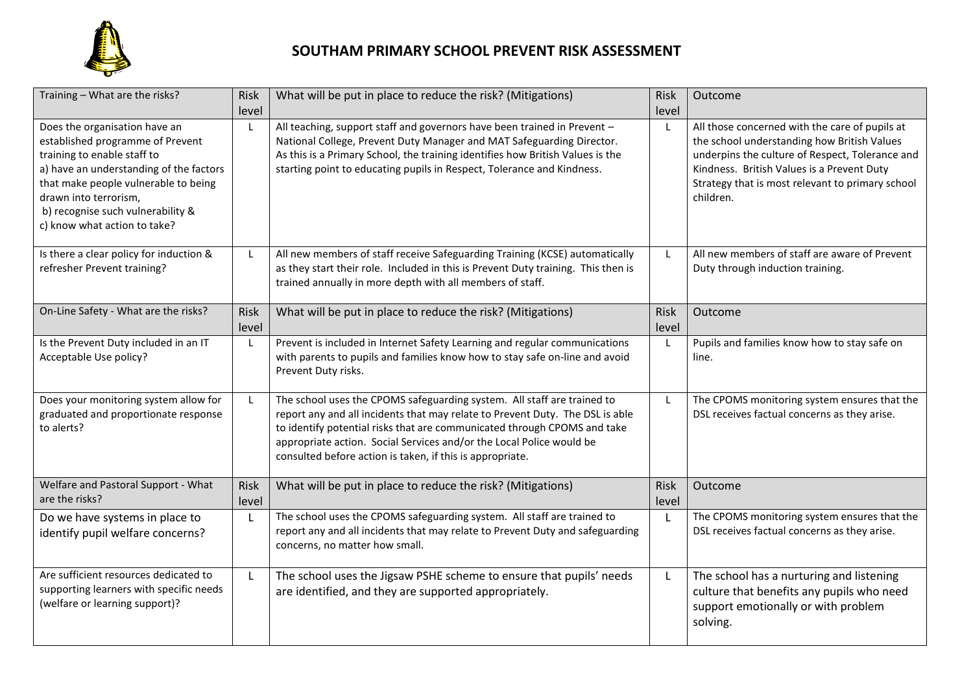

## **SOUTHAM PRIMARY SCHOOL PREVENT RISK ASSESSMENT**

| Training - What are the risks?                                                                                                                                                                                                                                                    | Risk          | What will be put in place to reduce the risk? (Mitigations)                                                                                                                                                                                                                                                                                                               | <b>Risk</b>          | Outcome                                                                                                                                                                                                                                                         |
|-----------------------------------------------------------------------------------------------------------------------------------------------------------------------------------------------------------------------------------------------------------------------------------|---------------|---------------------------------------------------------------------------------------------------------------------------------------------------------------------------------------------------------------------------------------------------------------------------------------------------------------------------------------------------------------------------|----------------------|-----------------------------------------------------------------------------------------------------------------------------------------------------------------------------------------------------------------------------------------------------------------|
|                                                                                                                                                                                                                                                                                   | level         |                                                                                                                                                                                                                                                                                                                                                                           | level                |                                                                                                                                                                                                                                                                 |
| Does the organisation have an<br>established programme of Prevent<br>training to enable staff to<br>a) have an understanding of the factors<br>that make people vulnerable to being<br>drawn into terrorism,<br>b) recognise such vulnerability &<br>c) know what action to take? | L             | All teaching, support staff and governors have been trained in Prevent -<br>National College, Prevent Duty Manager and MAT Safeguarding Director.<br>As this is a Primary School, the training identifies how British Values is the<br>starting point to educating pupils in Respect, Tolerance and Kindness.                                                             | L                    | All those concerned with the care of pupils at<br>the school understanding how British Values<br>underpins the culture of Respect, Tolerance and<br>Kindness. British Values is a Prevent Duty<br>Strategy that is most relevant to primary school<br>children. |
| Is there a clear policy for induction &<br>refresher Prevent training?                                                                                                                                                                                                            | L             | All new members of staff receive Safeguarding Training (KCSE) automatically<br>as they start their role. Included in this is Prevent Duty training. This then is<br>trained annually in more depth with all members of staff.                                                                                                                                             | L                    | All new members of staff are aware of Prevent<br>Duty through induction training.                                                                                                                                                                               |
| On-Line Safety - What are the risks?                                                                                                                                                                                                                                              | Risk<br>level | What will be put in place to reduce the risk? (Mitigations)                                                                                                                                                                                                                                                                                                               | <b>Risk</b><br>level | Outcome                                                                                                                                                                                                                                                         |
| Is the Prevent Duty included in an IT<br>Acceptable Use policy?                                                                                                                                                                                                                   | L             | Prevent is included in Internet Safety Learning and regular communications<br>with parents to pupils and families know how to stay safe on-line and avoid<br>Prevent Duty risks.                                                                                                                                                                                          | L                    | Pupils and families know how to stay safe on<br>line.                                                                                                                                                                                                           |
| Does your monitoring system allow for<br>graduated and proportionate response<br>to alerts?                                                                                                                                                                                       | L             | The school uses the CPOMS safeguarding system. All staff are trained to<br>report any and all incidents that may relate to Prevent Duty. The DSL is able<br>to identify potential risks that are communicated through CPOMS and take<br>appropriate action. Social Services and/or the Local Police would be<br>consulted before action is taken, if this is appropriate. | L                    | The CPOMS monitoring system ensures that the<br>DSL receives factual concerns as they arise.                                                                                                                                                                    |
| Welfare and Pastoral Support - What<br>are the risks?                                                                                                                                                                                                                             | Risk<br>level | What will be put in place to reduce the risk? (Mitigations)                                                                                                                                                                                                                                                                                                               | <b>Risk</b><br>level | Outcome                                                                                                                                                                                                                                                         |
| Do we have systems in place to<br>identify pupil welfare concerns?                                                                                                                                                                                                                | $\mathsf{L}$  | The school uses the CPOMS safeguarding system. All staff are trained to<br>report any and all incidents that may relate to Prevent Duty and safeguarding<br>concerns, no matter how small.                                                                                                                                                                                | L                    | The CPOMS monitoring system ensures that the<br>DSL receives factual concerns as they arise.                                                                                                                                                                    |
| Are sufficient resources dedicated to<br>supporting learners with specific needs<br>(welfare or learning support)?                                                                                                                                                                | L             | The school uses the Jigsaw PSHE scheme to ensure that pupils' needs<br>are identified, and they are supported appropriately.                                                                                                                                                                                                                                              | L                    | The school has a nurturing and listening<br>culture that benefits any pupils who need<br>support emotionally or with problem<br>solving.                                                                                                                        |